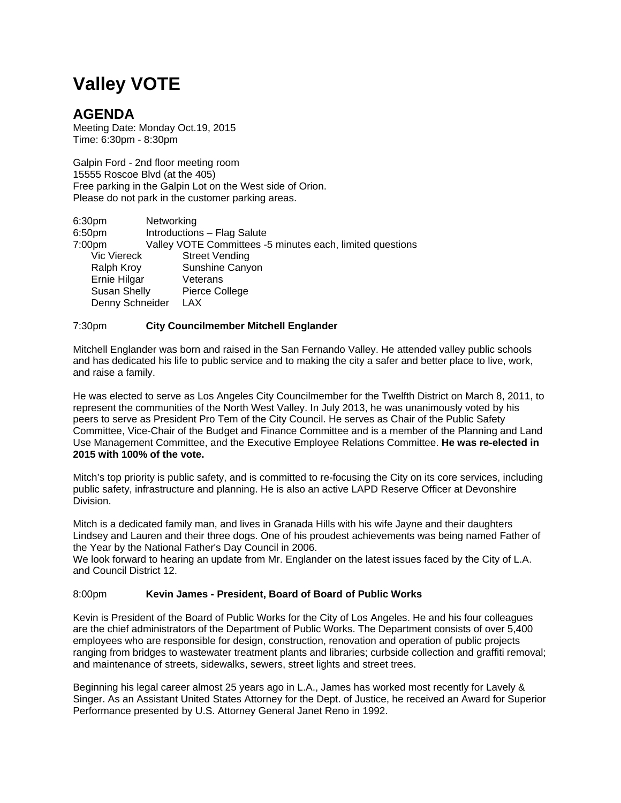# **Valley VOTE**

## **AGENDA**

Meeting Date: Monday Oct.19, 2015 Time: 6:30pm - 8:30pm

Galpin Ford - 2nd floor meeting room 15555 Roscoe Blvd (at the 405) Free parking in the Galpin Lot on the West side of Orion. Please do not park in the customer parking areas.

| 6:30 <sub>pm</sub>  | Networking                                                |
|---------------------|-----------------------------------------------------------|
| 6:50 <sub>pm</sub>  | Introductions - Flag Salute                               |
| 7:00pm              | Valley VOTE Committees -5 minutes each, limited questions |
| <b>Vic Viereck</b>  | <b>Street Vending</b>                                     |
| Ralph Kroy          | Sunshine Canyon                                           |
| Ernie Hilgar        | Veterans                                                  |
| <b>Susan Shelly</b> | Pierce College                                            |
| Denny Schneider     | <b>LAX</b>                                                |

### 7:30pm **City Councilmember Mitchell Englander**

Mitchell Englander was born and raised in the San Fernando Valley. He attended valley public schools and has dedicated his life to public service and to making the city a safer and better place to live, work, and raise a family.

He was elected to serve as Los Angeles City Councilmember for the Twelfth District on March 8, 2011, to represent the communities of the North West Valley. In July 2013, he was unanimously voted by his peers to serve as President Pro Tem of the City Council. He serves as Chair of the Public Safety Committee, Vice-Chair of the Budget and Finance Committee and is a member of the Planning and Land Use Management Committee, and the Executive Employee Relations Committee. **He was re-elected in 2015 with 100% of the vote.**

Mitch's top priority is public safety, and is committed to re-focusing the City on its core services, including public safety, infrastructure and planning. He is also an active LAPD Reserve Officer at Devonshire Division.

Mitch is a dedicated family man, and lives in Granada Hills with his wife Jayne and their daughters Lindsey and Lauren and their three dogs. One of his proudest achievements was being named Father of the Year by the National Father's Day Council in 2006.

We look forward to hearing an update from Mr. Englander on the latest issues faced by the City of L.A. and Council District 12.

### 8:00pm **Kevin James - President, Board of Board of Public Works**

Kevin is President of the Board of Public Works for the City of Los Angeles. He and his four colleagues are the chief administrators of the Department of Public Works. The Department consists of over 5,400 employees who are responsible for design, construction, renovation and operation of public projects ranging from bridges to wastewater treatment plants and libraries; curbside collection and graffiti removal; and maintenance of streets, sidewalks, sewers, street lights and street trees.

Beginning his legal career almost 25 years ago in L.A., James has worked most recently for Lavely & Singer. As an Assistant United States Attorney for the Dept. of Justice, he received an Award for Superior Performance presented by U.S. Attorney General Janet Reno in 1992.